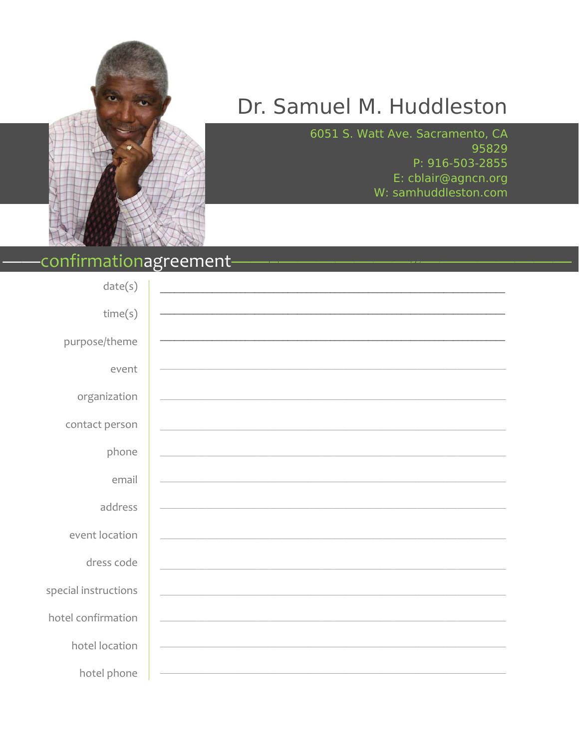

## Dr. Samuel M. Huddleston

6051 S. Watt Ave. Sacramento, CA 95829 P: 916-503-2855 E: cblair@agncn.org W: samhuddleston.com

### confirmationagreement-